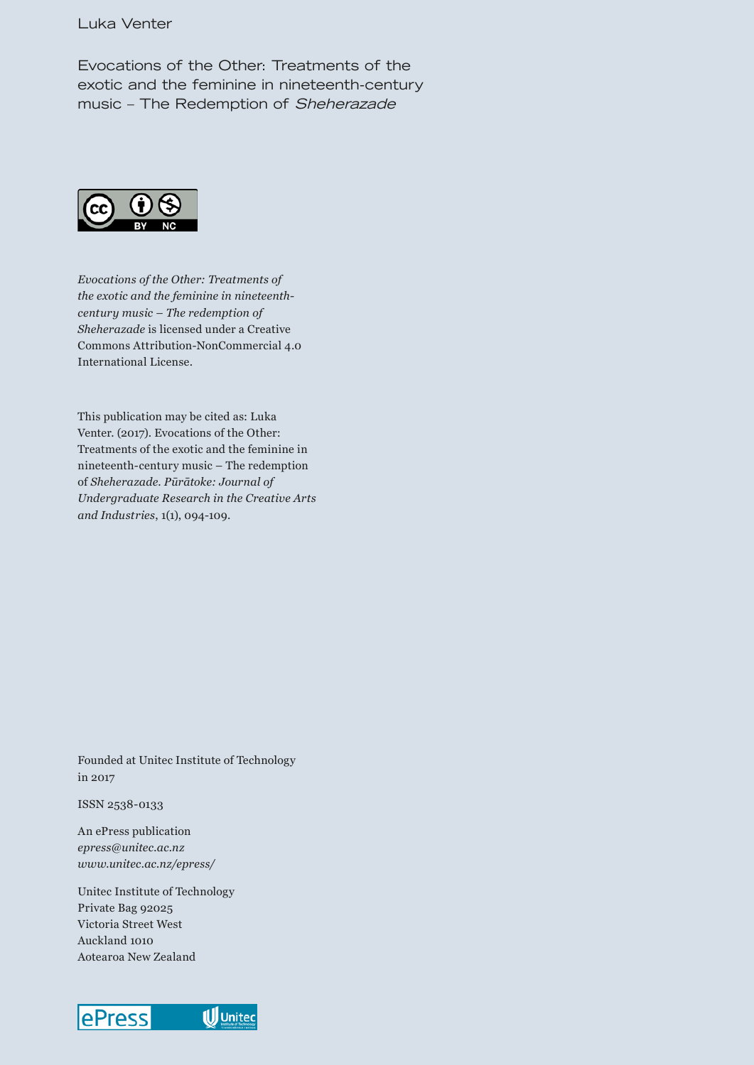#### Luka Venter

Evocations of the Other: Treatments of the exotic and the feminine in nineteenth-century music – The Redemption of *Sheherazade*



*Evocations of the Other: Treatments of the exotic and the feminine in nineteenthcentury music – The redemption of Sheherazade* is licensed under a Creative Commons Attribution-NonCommercial 4.0 International License.

This publication may be cited as: Luka Venter. (2017). Evocations of the Other: Treatments of the exotic and the feminine in nineteenth-century music – The redemption of *Sheherazade*. *Pūrātoke: Journal of Undergraduate Research in the Creative Arts and Industries*, 1(1), 094-109.

Founded at Unitec Institute of Technology in 2017

ISSN 2538-0133

An ePress publication *epress@unitec.ac.nz www.unitec.ac.nz/epress/*

Unitec Institute of Technology Private Bag 92025 Victoria Street West Auckland 1010 Aotearoa New Zealand

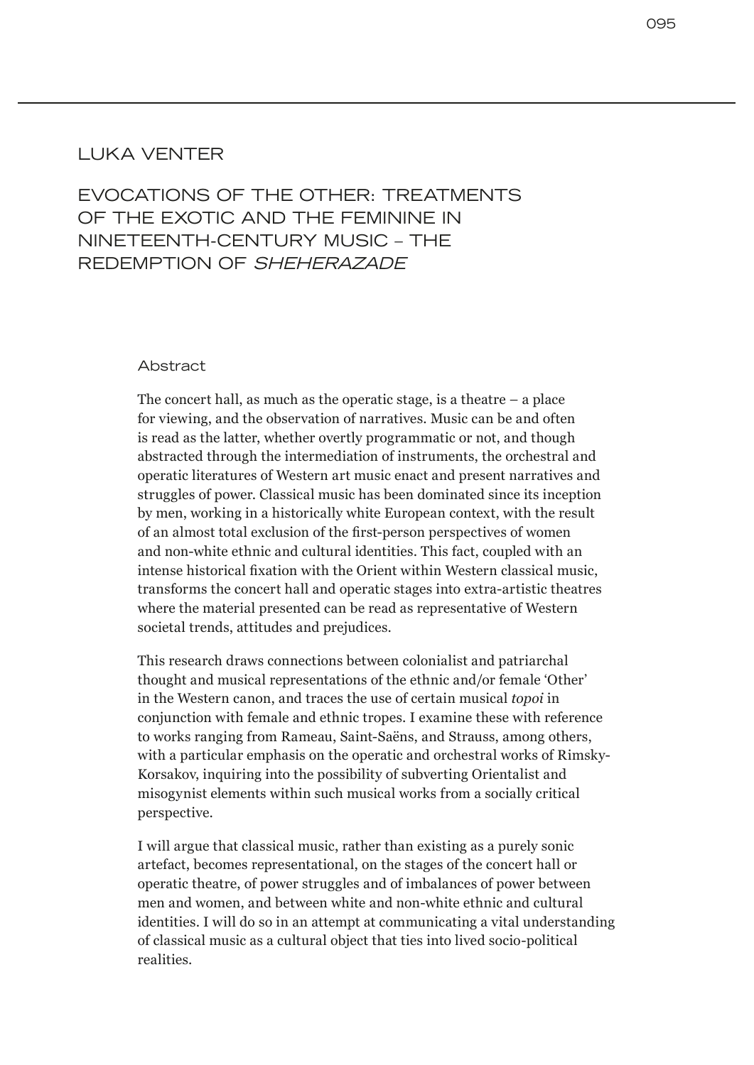## LUKA VENTER

# EVOCATIONS OF THE OTHER: TREATMENTS OF THE EXOTIC AND THE FEMININE IN NINETEENTH-CENTURY MUSIC – THE REDEMPTION OF *SHEHERAZADE*

#### Abstract

The concert hall, as much as the operatic stage, is a theatre – a place for viewing, and the observation of narratives. Music can be and often is read as the latter, whether overtly programmatic or not, and though abstracted through the intermediation of instruments, the orchestral and operatic literatures of Western art music enact and present narratives and struggles of power. Classical music has been dominated since its inception by men, working in a historically white European context, with the result of an almost total exclusion of the first-person perspectives of women and non-white ethnic and cultural identities. This fact, coupled with an intense historical fixation with the Orient within Western classical music, transforms the concert hall and operatic stages into extra-artistic theatres where the material presented can be read as representative of Western societal trends, attitudes and prejudices.

This research draws connections between colonialist and patriarchal thought and musical representations of the ethnic and/or female 'Other' in the Western canon, and traces the use of certain musical *topoi* in conjunction with female and ethnic tropes. I examine these with reference to works ranging from Rameau, Saint-Saëns, and Strauss, among others, with a particular emphasis on the operatic and orchestral works of Rimsky-Korsakov, inquiring into the possibility of subverting Orientalist and misogynist elements within such musical works from a socially critical perspective.

I will argue that classical music, rather than existing as a purely sonic artefact, becomes representational, on the stages of the concert hall or operatic theatre, of power struggles and of imbalances of power between men and women, and between white and non-white ethnic and cultural identities. I will do so in an attempt at communicating a vital understanding of classical music as a cultural object that ties into lived socio-political realities.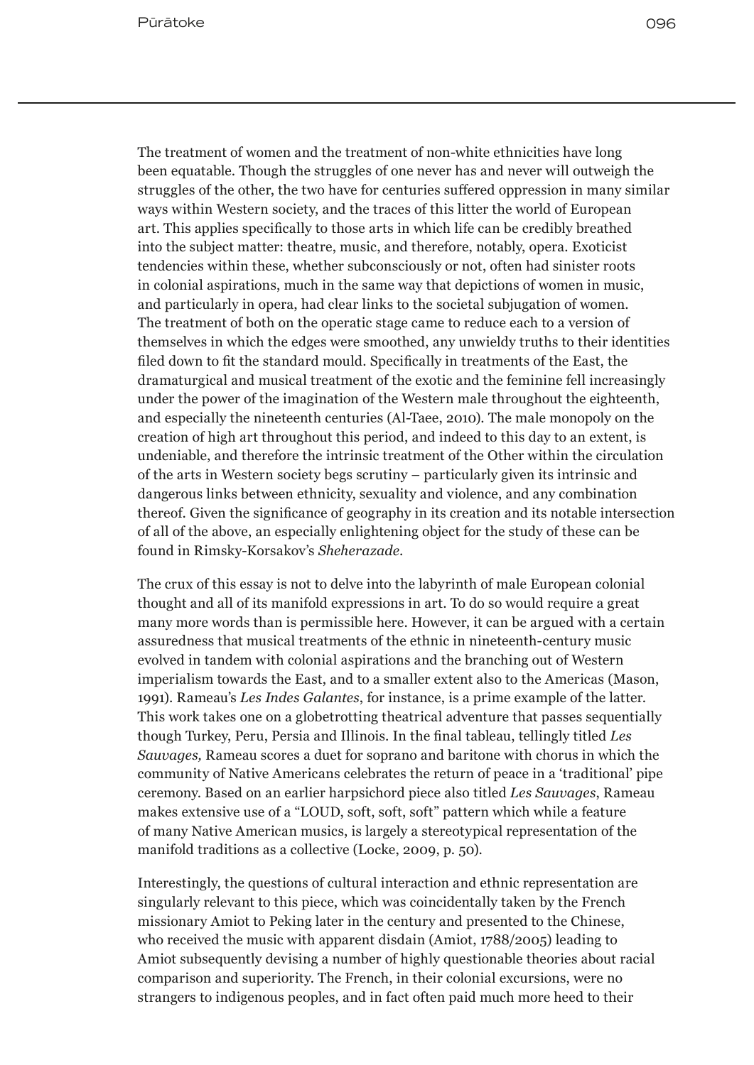The treatment of women and the treatment of non-white ethnicities have long been equatable. Though the struggles of one never has and never will outweigh the struggles of the other, the two have for centuries suffered oppression in many similar ways within Western society, and the traces of this litter the world of European art. This applies specifically to those arts in which life can be credibly breathed into the subject matter: theatre, music, and therefore, notably, opera. Exoticist tendencies within these, whether subconsciously or not, often had sinister roots in colonial aspirations, much in the same way that depictions of women in music, and particularly in opera, had clear links to the societal subjugation of women. The treatment of both on the operatic stage came to reduce each to a version of themselves in which the edges were smoothed, any unwieldy truths to their identities filed down to fit the standard mould. Specifically in treatments of the East, the dramaturgical and musical treatment of the exotic and the feminine fell increasingly under the power of the imagination of the Western male throughout the eighteenth, and especially the nineteenth centuries (Al-Taee, 2010). The male monopoly on the creation of high art throughout this period, and indeed to this day to an extent, is undeniable, and therefore the intrinsic treatment of the Other within the circulation of the arts in Western society begs scrutiny – particularly given its intrinsic and dangerous links between ethnicity, sexuality and violence, and any combination thereof. Given the significance of geography in its creation and its notable intersection of all of the above, an especially enlightening object for the study of these can be found in Rimsky-Korsakov's *Sheherazade*.

The crux of this essay is not to delve into the labyrinth of male European colonial thought and all of its manifold expressions in art. To do so would require a great many more words than is permissible here. However, it can be argued with a certain assuredness that musical treatments of the ethnic in nineteenth-century music evolved in tandem with colonial aspirations and the branching out of Western imperialism towards the East, and to a smaller extent also to the Americas (Mason, 1991). Rameau's *Les Indes Galantes*, for instance, is a prime example of the latter. This work takes one on a globetrotting theatrical adventure that passes sequentially though Turkey, Peru, Persia and Illinois. In the final tableau, tellingly titled *Les Sauvages,* Rameau scores a duet for soprano and baritone with chorus in which the community of Native Americans celebrates the return of peace in a 'traditional' pipe ceremony. Based on an earlier harpsichord piece also titled *Les Sauvages*, Rameau makes extensive use of a "LOUD, soft, soft, soft" pattern which while a feature of many Native American musics, is largely a stereotypical representation of the manifold traditions as a collective (Locke, 2009, p. 50).

Interestingly, the questions of cultural interaction and ethnic representation are singularly relevant to this piece, which was coincidentally taken by the French missionary Amiot to Peking later in the century and presented to the Chinese, who received the music with apparent disdain (Amiot, 1788/2005) leading to Amiot subsequently devising a number of highly questionable theories about racial comparison and superiority. The French, in their colonial excursions, were no strangers to indigenous peoples, and in fact often paid much more heed to their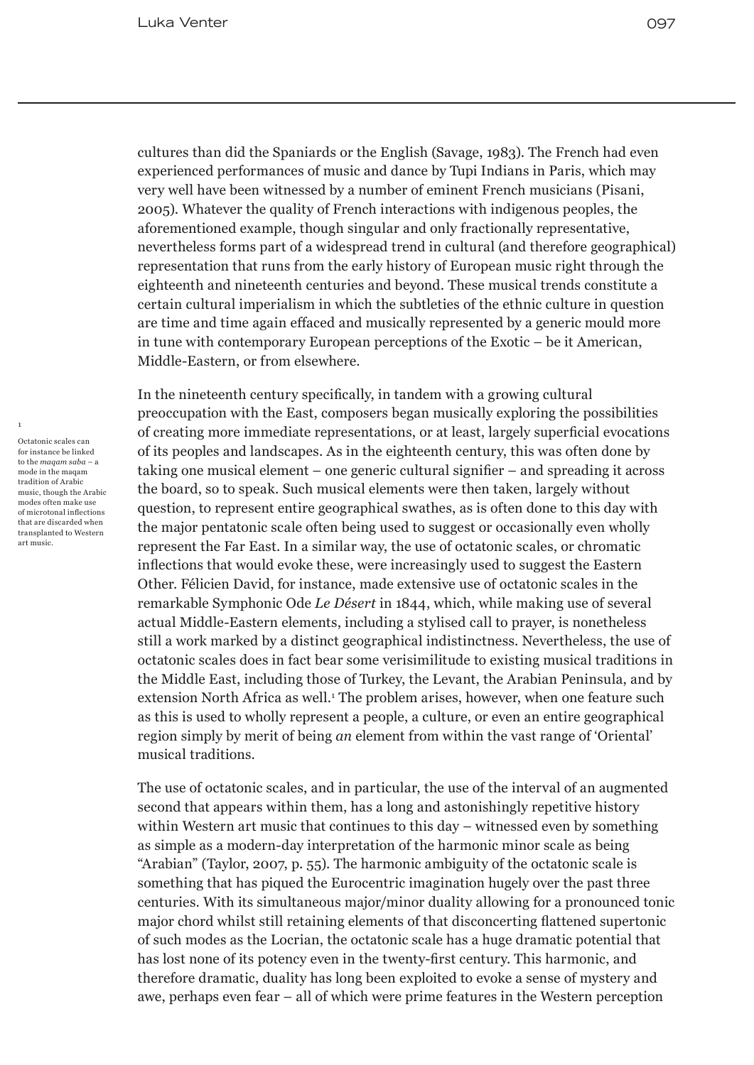cultures than did the Spaniards or the English (Savage, 1983). The French had even experienced performances of music and dance by Tupi Indians in Paris, which may very well have been witnessed by a number of eminent French musicians (Pisani, 2005). Whatever the quality of French interactions with indigenous peoples, the aforementioned example, though singular and only fractionally representative, nevertheless forms part of a widespread trend in cultural (and therefore geographical) representation that runs from the early history of European music right through the eighteenth and nineteenth centuries and beyond. These musical trends constitute a certain cultural imperialism in which the subtleties of the ethnic culture in question are time and time again effaced and musically represented by a generic mould more in tune with contemporary European perceptions of the Exotic – be it American, Middle-Eastern, or from elsewhere.

In the nineteenth century specifically, in tandem with a growing cultural preoccupation with the East, composers began musically exploring the possibilities of creating more immediate representations, or at least, largely superficial evocations of its peoples and landscapes. As in the eighteenth century, this was often done by taking one musical element – one generic cultural signifier – and spreading it across the board, so to speak. Such musical elements were then taken, largely without question, to represent entire geographical swathes, as is often done to this day with the major pentatonic scale often being used to suggest or occasionally even wholly represent the Far East. In a similar way, the use of octatonic scales, or chromatic inflections that would evoke these, were increasingly used to suggest the Eastern Other. Félicien David, for instance, made extensive use of octatonic scales in the remarkable Symphonic Ode *Le Désert* in 1844, which, while making use of several actual Middle-Eastern elements, including a stylised call to prayer, is nonetheless still a work marked by a distinct geographical indistinctness. Nevertheless, the use of octatonic scales does in fact bear some verisimilitude to existing musical traditions in the Middle East, including those of Turkey, the Levant, the Arabian Peninsula, and by extension North Africa as well.<sup>1</sup> The problem arises, however, when one feature such as this is used to wholly represent a people, a culture, or even an entire geographical region simply by merit of being *an* element from within the vast range of 'Oriental' musical traditions.

The use of octatonic scales, and in particular, the use of the interval of an augmented second that appears within them, has a long and astonishingly repetitive history within Western art music that continues to this day – witnessed even by something as simple as a modern-day interpretation of the harmonic minor scale as being "Arabian" (Taylor, 2007, p. 55). The harmonic ambiguity of the octatonic scale is something that has piqued the Eurocentric imagination hugely over the past three centuries. With its simultaneous major/minor duality allowing for a pronounced tonic major chord whilst still retaining elements of that disconcerting flattened supertonic of such modes as the Locrian, the octatonic scale has a huge dramatic potential that has lost none of its potency even in the twenty-first century. This harmonic, and therefore dramatic, duality has long been exploited to evoke a sense of mystery and awe, perhaps even fear – all of which were prime features in the Western perception

Octatonic scales can for instance be linked to the *maqam saba* – a mode in the maqam tradition of Arabic music, though the Arabic modes often make use of microtonal inflections that are discarded when transplanted to Western art music.

1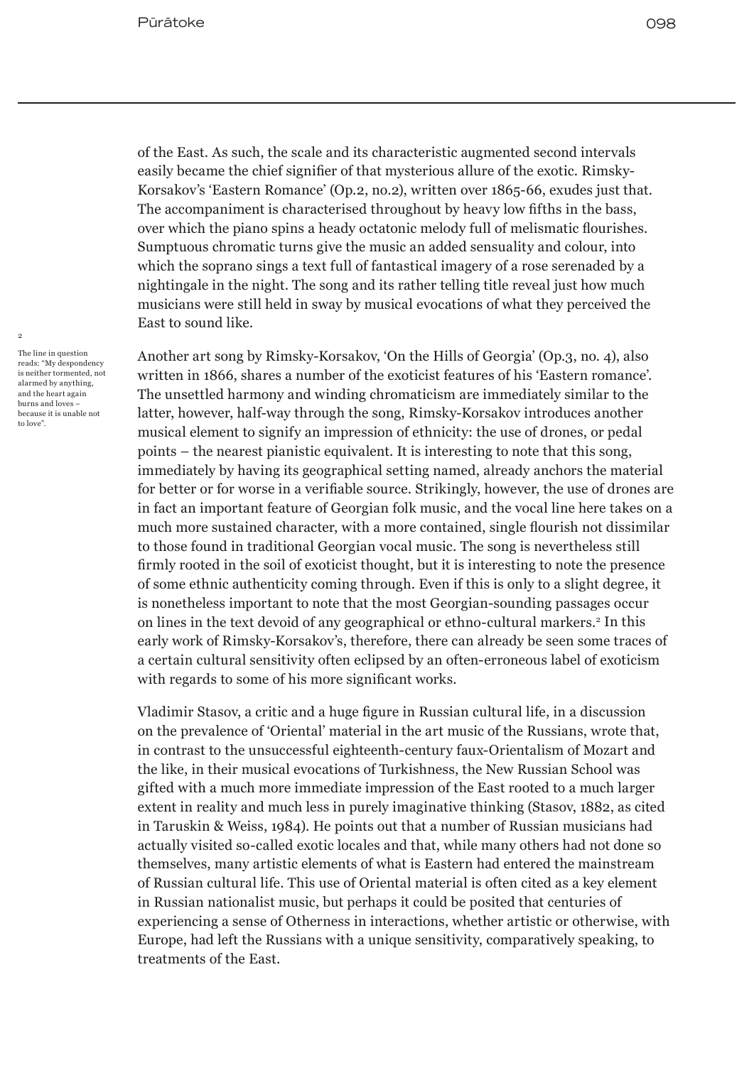of the East. As such, the scale and its characteristic augmented second intervals easily became the chief signifier of that mysterious allure of the exotic. Rimsky-Korsakov's 'Eastern Romance' (Op.2, no.2), written over 1865-66, exudes just that. The accompaniment is characterised throughout by heavy low fifths in the bass, over which the piano spins a heady octatonic melody full of melismatic flourishes. Sumptuous chromatic turns give the music an added sensuality and colour, into which the soprano sings a text full of fantastical imagery of a rose serenaded by a nightingale in the night. The song and its rather telling title reveal just how much musicians were still held in sway by musical evocations of what they perceived the East to sound like.

Another art song by Rimsky-Korsakov, 'On the Hills of Georgia' (Op.3, no. 4), also written in 1866, shares a number of the exoticist features of his 'Eastern romance'. The unsettled harmony and winding chromaticism are immediately similar to the latter, however, half-way through the song, Rimsky-Korsakov introduces another musical element to signify an impression of ethnicity: the use of drones, or pedal points – the nearest pianistic equivalent. It is interesting to note that this song, immediately by having its geographical setting named, already anchors the material for better or for worse in a verifiable source. Strikingly, however, the use of drones are in fact an important feature of Georgian folk music, and the vocal line here takes on a much more sustained character, with a more contained, single flourish not dissimilar to those found in traditional Georgian vocal music. The song is nevertheless still firmly rooted in the soil of exoticist thought, but it is interesting to note the presence of some ethnic authenticity coming through. Even if this is only to a slight degree, it is nonetheless important to note that the most Georgian-sounding passages occur on lines in the text devoid of any geographical or ethno-cultural markers.<sup>2</sup> In this early work of Rimsky-Korsakov's, therefore, there can already be seen some traces of a certain cultural sensitivity often eclipsed by an often-erroneous label of exoticism with regards to some of his more significant works.

Vladimir Stasov, a critic and a huge figure in Russian cultural life, in a discussion on the prevalence of 'Oriental' material in the art music of the Russians, wrote that, in contrast to the unsuccessful eighteenth-century faux-Orientalism of Mozart and the like, in their musical evocations of Turkishness, the New Russian School was gifted with a much more immediate impression of the East rooted to a much larger extent in reality and much less in purely imaginative thinking (Stasov, 1882, as cited in Taruskin & Weiss, 1984). He points out that a number of Russian musicians had actually visited so-called exotic locales and that, while many others had not done so themselves, many artistic elements of what is Eastern had entered the mainstream of Russian cultural life. This use of Oriental material is often cited as a key element in Russian nationalist music, but perhaps it could be posited that centuries of experiencing a sense of Otherness in interactions, whether artistic or otherwise, with Europe, had left the Russians with a unique sensitivity, comparatively speaking, to treatments of the East.

The line in question reads: "My despondency is neither tormented, not alarmed by anything, and the heart again burns and loves – because it is unable not to love".

2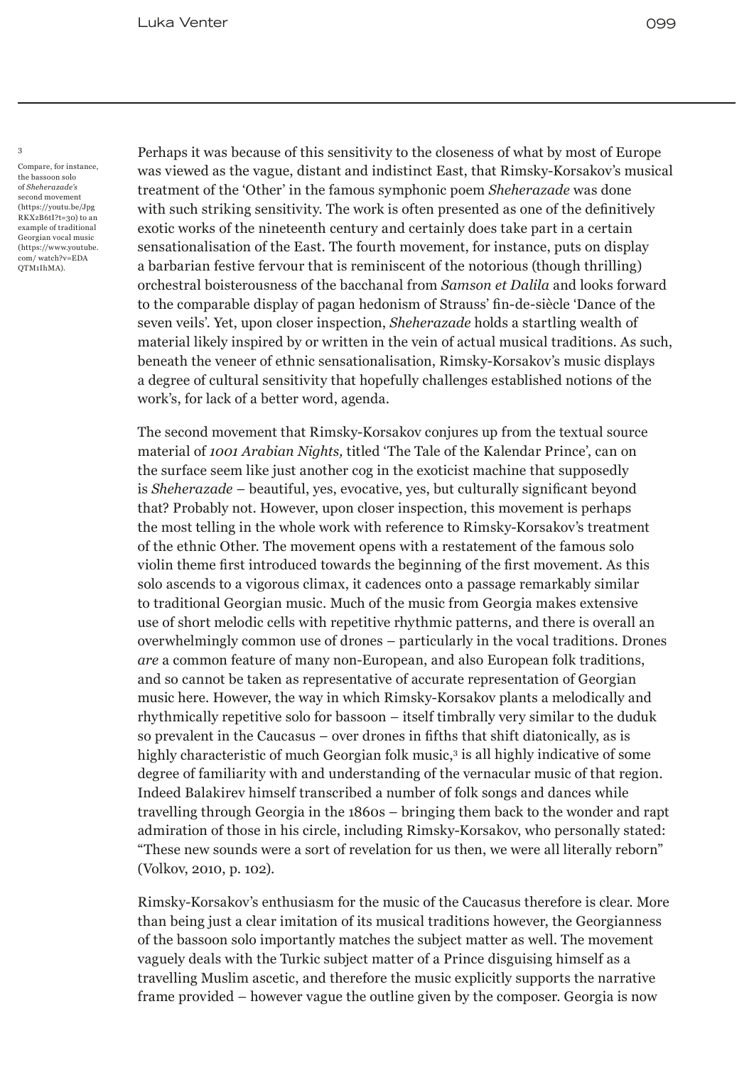Compare, for instance, the bassoon solo of *Sheherazade's* second movement (https://youtu.be/Jpg RKXzB6tI?t=30) to an example of traditional Georgian vocal music (https://www.youtube. com/ watch?v=EDA QTM1IhMA).

3

Perhaps it was because of this sensitivity to the closeness of what by most of Europe was viewed as the vague, distant and indistinct East, that Rimsky-Korsakov's musical treatment of the 'Other' in the famous symphonic poem *Sheherazade* was done with such striking sensitivity. The work is often presented as one of the definitively exotic works of the nineteenth century and certainly does take part in a certain sensationalisation of the East. The fourth movement, for instance, puts on display a barbarian festive fervour that is reminiscent of the notorious (though thrilling) orchestral boisterousness of the bacchanal from *Samson et Dalila* and looks forward to the comparable display of pagan hedonism of Strauss' fin-de-siècle 'Dance of the seven veils'. Yet, upon closer inspection, *Sheherazade* holds a startling wealth of material likely inspired by or written in the vein of actual musical traditions. As such, beneath the veneer of ethnic sensationalisation, Rimsky-Korsakov's music displays a degree of cultural sensitivity that hopefully challenges established notions of the work's, for lack of a better word, agenda.

The second movement that Rimsky-Korsakov conjures up from the textual source material of *1001 Arabian Nights,* titled 'The Tale of the Kalendar Prince', can on the surface seem like just another cog in the exoticist machine that supposedly is *Sheherazade* – beautiful, yes, evocative, yes, but culturally significant beyond that? Probably not. However, upon closer inspection, this movement is perhaps the most telling in the whole work with reference to Rimsky-Korsakov's treatment of the ethnic Other. The movement opens with a restatement of the famous solo violin theme first introduced towards the beginning of the first movement. As this solo ascends to a vigorous climax, it cadences onto a passage remarkably similar to traditional Georgian music. Much of the music from Georgia makes extensive use of short melodic cells with repetitive rhythmic patterns, and there is overall an overwhelmingly common use of drones – particularly in the vocal traditions. Drones *are* a common feature of many non-European, and also European folk traditions, and so cannot be taken as representative of accurate representation of Georgian music here. However, the way in which Rimsky-Korsakov plants a melodically and rhythmically repetitive solo for bassoon – itself timbrally very similar to the duduk so prevalent in the Caucasus – over drones in fifths that shift diatonically, as is highly characteristic of much Georgian folk music,<sup>3</sup> is all highly indicative of some degree of familiarity with and understanding of the vernacular music of that region. Indeed Balakirev himself transcribed a number of folk songs and dances while travelling through Georgia in the 1860s – bringing them back to the wonder and rapt admiration of those in his circle, including Rimsky-Korsakov, who personally stated: "These new sounds were a sort of revelation for us then, we were all literally reborn" (Volkov, 2010, p. 102).

Rimsky-Korsakov's enthusiasm for the music of the Caucasus therefore is clear. More than being just a clear imitation of its musical traditions however, the Georgianness of the bassoon solo importantly matches the subject matter as well. The movement vaguely deals with the Turkic subject matter of a Prince disguising himself as a travelling Muslim ascetic, and therefore the music explicitly supports the narrative frame provided – however vague the outline given by the composer. Georgia is now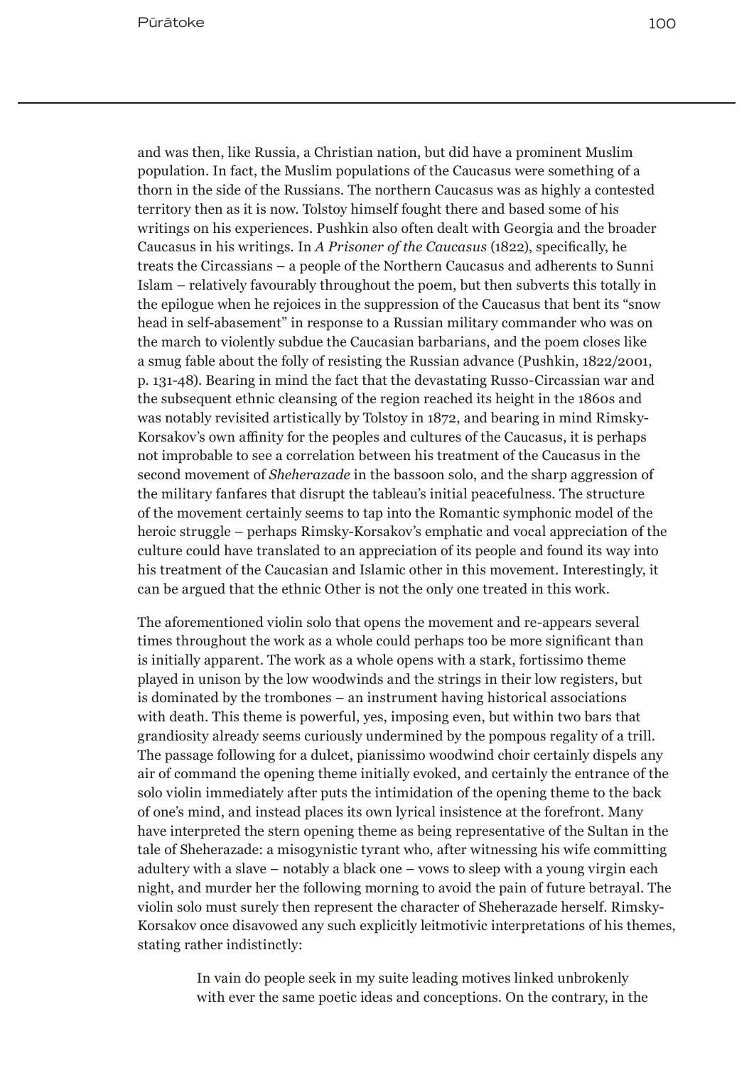and was then, like Russia, a Christian nation, but did have a prominent Muslim population. In fact, the Muslim populations of the Caucasus were something of a thorn in the side of the Russians. The northern Caucasus was as highly a contested territory then as it is now. Tolstoy himself fought there and based some of his writings on his experiences. Pushkin also often dealt with Georgia and the broader Caucasus in his writings. In *A Prisoner of the Caucasus* (1822), specifically, he treats the Circassians – a people of the Northern Caucasus and adherents to Sunni Islam – relatively favourably throughout the poem, but then subverts this totally in the epilogue when he rejoices in the suppression of the Caucasus that bent its "snow head in self-abasement" in response to a Russian military commander who was on the march to violently subdue the Caucasian barbarians, and the poem closes like a smug fable about the folly of resisting the Russian advance (Pushkin, 1822/2001, p. 131-48). Bearing in mind the fact that the devastating Russo-Circassian war and the subsequent ethnic cleansing of the region reached its height in the 1860s and was notably revisited artistically by Tolstoy in 1872, and bearing in mind Rimsky-Korsakov's own affinity for the peoples and cultures of the Caucasus, it is perhaps not improbable to see a correlation between his treatment of the Caucasus in the second movement of *Sheherazade* in the bassoon solo, and the sharp aggression of the military fanfares that disrupt the tableau's initial peacefulness. The structure of the movement certainly seems to tap into the Romantic symphonic model of the heroic struggle – perhaps Rimsky-Korsakov's emphatic and vocal appreciation of the culture could have translated to an appreciation of its people and found its way into his treatment of the Caucasian and Islamic other in this movement. Interestingly, it can be argued that the ethnic Other is not the only one treated in this work.

The aforementioned violin solo that opens the movement and re-appears several times throughout the work as a whole could perhaps too be more significant than is initially apparent. The work as a whole opens with a stark, fortissimo theme played in unison by the low woodwinds and the strings in their low registers, but is dominated by the trombones – an instrument having historical associations with death. This theme is powerful, yes, imposing even, but within two bars that grandiosity already seems curiously undermined by the pompous regality of a trill. The passage following for a dulcet, pianissimo woodwind choir certainly dispels any air of command the opening theme initially evoked, and certainly the entrance of the solo violin immediately after puts the intimidation of the opening theme to the back of one's mind, and instead places its own lyrical insistence at the forefront. Many have interpreted the stern opening theme as being representative of the Sultan in the tale of Sheherazade: a misogynistic tyrant who, after witnessing his wife committing adultery with a slave – notably a black one – vows to sleep with a young virgin each night, and murder her the following morning to avoid the pain of future betrayal. The violin solo must surely then represent the character of Sheherazade herself. Rimsky-Korsakov once disavowed any such explicitly leitmotivic interpretations of his themes, stating rather indistinctly:

> In vain do people seek in my suite leading motives linked unbrokenly with ever the same poetic ideas and conceptions. On the contrary, in the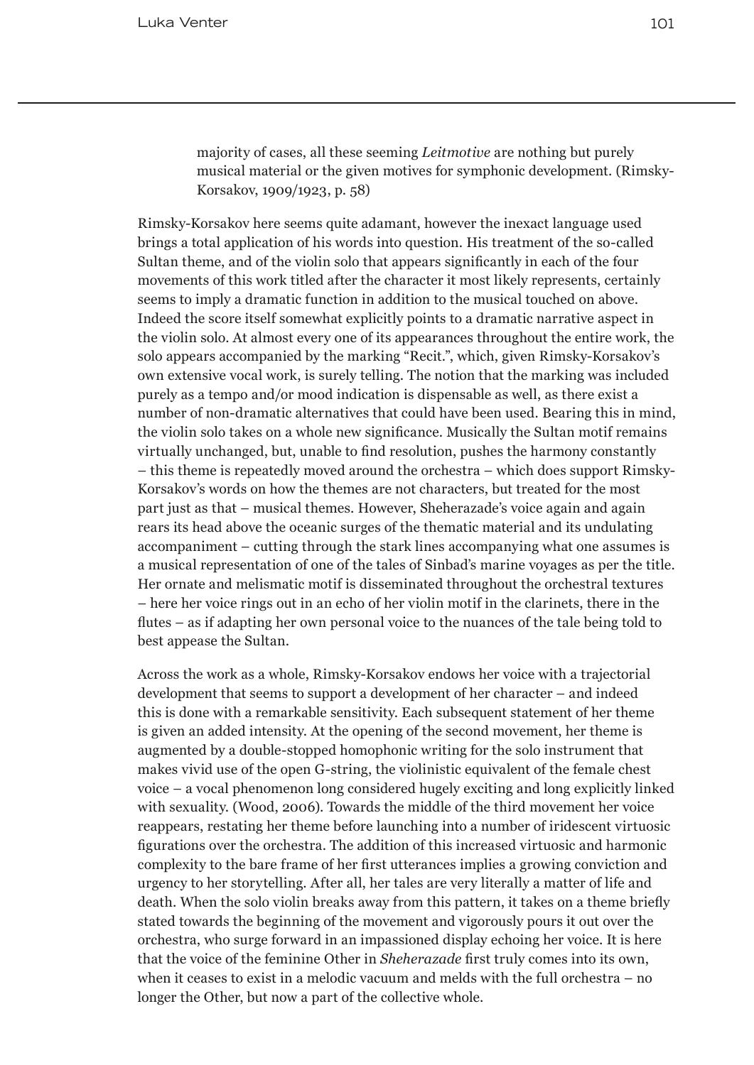Luka Venter 101 and 101 and 101 and 101 and 101 and 101 and 101 and 101 and 101 and 101 and 101 and 101 and 10

majority of cases, all these seeming *Leitmotive* are nothing but purely musical material or the given motives for symphonic development. (Rimsky-Korsakov, 1909/1923, p. 58)

Rimsky-Korsakov here seems quite adamant, however the inexact language used brings a total application of his words into question. His treatment of the so-called Sultan theme, and of the violin solo that appears significantly in each of the four movements of this work titled after the character it most likely represents, certainly seems to imply a dramatic function in addition to the musical touched on above. Indeed the score itself somewhat explicitly points to a dramatic narrative aspect in the violin solo. At almost every one of its appearances throughout the entire work, the solo appears accompanied by the marking "Recit.", which, given Rimsky-Korsakov's own extensive vocal work, is surely telling. The notion that the marking was included purely as a tempo and/or mood indication is dispensable as well, as there exist a number of non-dramatic alternatives that could have been used. Bearing this in mind, the violin solo takes on a whole new significance. Musically the Sultan motif remains virtually unchanged, but, unable to find resolution, pushes the harmony constantly – this theme is repeatedly moved around the orchestra – which does support Rimsky-Korsakov's words on how the themes are not characters, but treated for the most part just as that – musical themes. However, Sheherazade's voice again and again rears its head above the oceanic surges of the thematic material and its undulating accompaniment – cutting through the stark lines accompanying what one assumes is a musical representation of one of the tales of Sinbad's marine voyages as per the title. Her ornate and melismatic motif is disseminated throughout the orchestral textures – here her voice rings out in an echo of her violin motif in the clarinets, there in the flutes – as if adapting her own personal voice to the nuances of the tale being told to best appease the Sultan.

Across the work as a whole, Rimsky-Korsakov endows her voice with a trajectorial development that seems to support a development of her character – and indeed this is done with a remarkable sensitivity. Each subsequent statement of her theme is given an added intensity. At the opening of the second movement, her theme is augmented by a double-stopped homophonic writing for the solo instrument that makes vivid use of the open G-string, the violinistic equivalent of the female chest voice – a vocal phenomenon long considered hugely exciting and long explicitly linked with sexuality. (Wood, 2006). Towards the middle of the third movement her voice reappears, restating her theme before launching into a number of iridescent virtuosic figurations over the orchestra. The addition of this increased virtuosic and harmonic complexity to the bare frame of her first utterances implies a growing conviction and urgency to her storytelling. After all, her tales are very literally a matter of life and death. When the solo violin breaks away from this pattern, it takes on a theme briefly stated towards the beginning of the movement and vigorously pours it out over the orchestra, who surge forward in an impassioned display echoing her voice. It is here that the voice of the feminine Other in *Sheherazade* first truly comes into its own, when it ceases to exist in a melodic vacuum and melds with the full orchestra – no longer the Other, but now a part of the collective whole.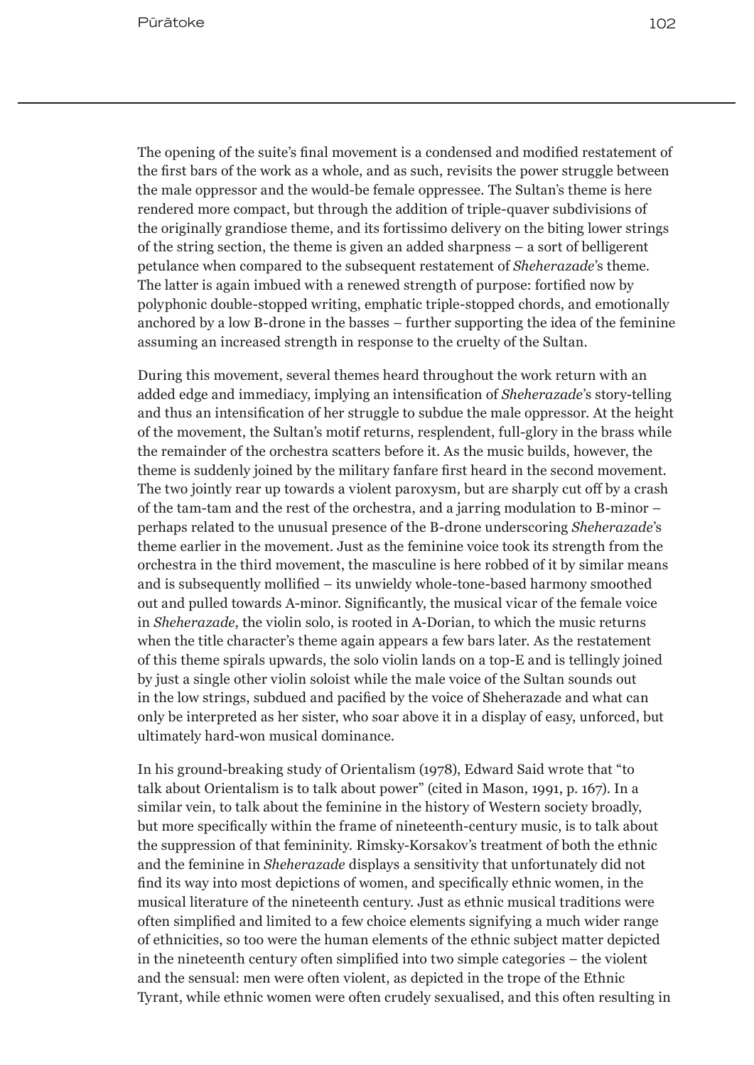The opening of the suite's final movement is a condensed and modified restatement of the first bars of the work as a whole, and as such, revisits the power struggle between the male oppressor and the would-be female oppressee. The Sultan's theme is here rendered more compact, but through the addition of triple-quaver subdivisions of the originally grandiose theme, and its fortissimo delivery on the biting lower strings of the string section, the theme is given an added sharpness – a sort of belligerent petulance when compared to the subsequent restatement of *Sheherazade*'s theme. The latter is again imbued with a renewed strength of purpose: fortified now by polyphonic double-stopped writing, emphatic triple-stopped chords, and emotionally anchored by a low B-drone in the basses – further supporting the idea of the feminine assuming an increased strength in response to the cruelty of the Sultan.

During this movement, several themes heard throughout the work return with an added edge and immediacy, implying an intensification of *Sheherazade*'s story-telling and thus an intensification of her struggle to subdue the male oppressor. At the height of the movement, the Sultan's motif returns, resplendent, full-glory in the brass while the remainder of the orchestra scatters before it. As the music builds, however, the theme is suddenly joined by the military fanfare first heard in the second movement. The two jointly rear up towards a violent paroxysm, but are sharply cut off by a crash of the tam-tam and the rest of the orchestra, and a jarring modulation to B-minor – perhaps related to the unusual presence of the B-drone underscoring *Sheherazade*'s theme earlier in the movement. Just as the feminine voice took its strength from the orchestra in the third movement, the masculine is here robbed of it by similar means and is subsequently mollified – its unwieldy whole-tone-based harmony smoothed out and pulled towards A-minor. Significantly, the musical vicar of the female voice in *Sheherazade*, the violin solo, is rooted in A-Dorian, to which the music returns when the title character's theme again appears a few bars later. As the restatement of this theme spirals upwards, the solo violin lands on a top-E and is tellingly joined by just a single other violin soloist while the male voice of the Sultan sounds out in the low strings, subdued and pacified by the voice of Sheherazade and what can only be interpreted as her sister, who soar above it in a display of easy, unforced, but ultimately hard-won musical dominance.

In his ground-breaking study of Orientalism (1978), Edward Said wrote that "to talk about Orientalism is to talk about power" (cited in Mason, 1991, p. 167). In a similar vein, to talk about the feminine in the history of Western society broadly, but more specifically within the frame of nineteenth-century music, is to talk about the suppression of that femininity. Rimsky-Korsakov's treatment of both the ethnic and the feminine in *Sheherazade* displays a sensitivity that unfortunately did not find its way into most depictions of women, and specifically ethnic women, in the musical literature of the nineteenth century. Just as ethnic musical traditions were often simplified and limited to a few choice elements signifying a much wider range of ethnicities, so too were the human elements of the ethnic subject matter depicted in the nineteenth century often simplified into two simple categories – the violent and the sensual: men were often violent, as depicted in the trope of the Ethnic Tyrant, while ethnic women were often crudely sexualised, and this often resulting in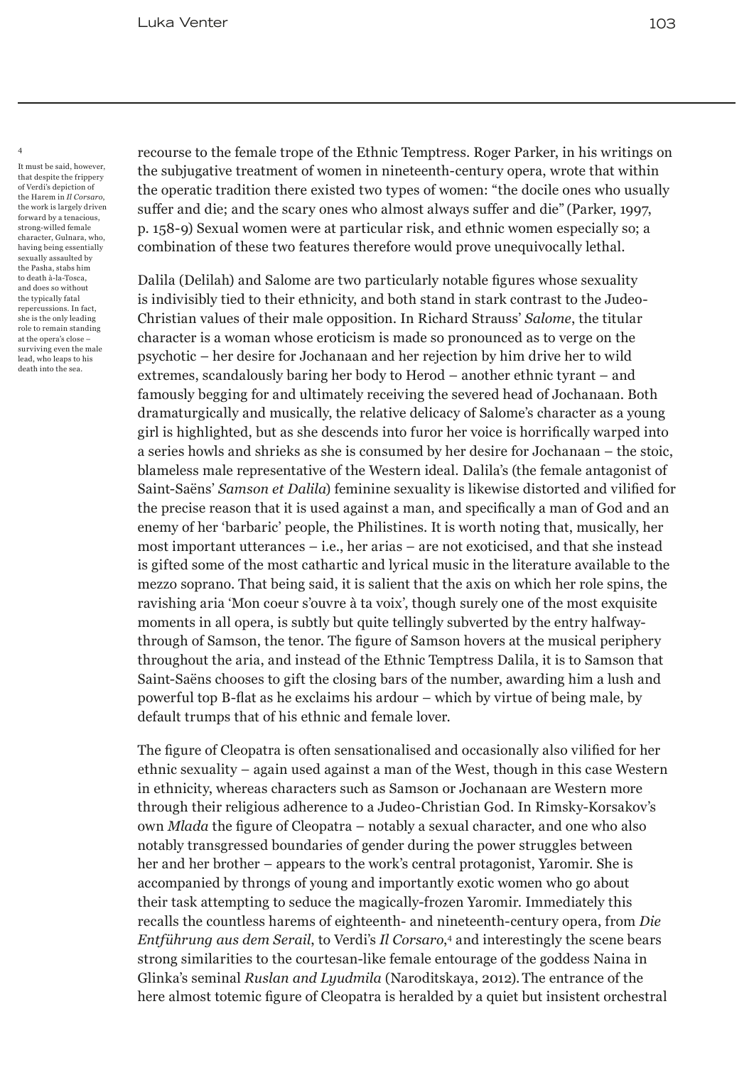4

It must be said, however, that despite the frippery of Verdi's depiction of the Harem in *Il Corsaro*, the work is largely driven forward by a tenacious, strong-willed female character, Gulnara, who, having being essentially sexually assaulted by the Pasha, stabs him to death à-la-Tosca, and does so without the typically fatal repercussions. In fact, she is the only leading role to remain standing at the opera's close – surviving even the male lead, who leaps to his death into the sea.

recourse to the female trope of the Ethnic Temptress. Roger Parker, in his writings on the subjugative treatment of women in nineteenth-century opera, wrote that within the operatic tradition there existed two types of women: "the docile ones who usually suffer and die; and the scary ones who almost always suffer and die" (Parker, 1997, p. 158-9) Sexual women were at particular risk, and ethnic women especially so; a combination of these two features therefore would prove unequivocally lethal.

Dalila (Delilah) and Salome are two particularly notable figures whose sexuality is indivisibly tied to their ethnicity, and both stand in stark contrast to the Judeo-Christian values of their male opposition. In Richard Strauss' *Salome*, the titular character is a woman whose eroticism is made so pronounced as to verge on the psychotic – her desire for Jochanaan and her rejection by him drive her to wild extremes, scandalously baring her body to Herod – another ethnic tyrant – and famously begging for and ultimately receiving the severed head of Jochanaan. Both dramaturgically and musically, the relative delicacy of Salome's character as a young girl is highlighted, but as she descends into furor her voice is horrifically warped into a series howls and shrieks as she is consumed by her desire for Jochanaan – the stoic, blameless male representative of the Western ideal. Dalila's (the female antagonist of Saint-Saëns' *Samson et Dalila*) feminine sexuality is likewise distorted and vilified for the precise reason that it is used against a man, and specifically a man of God and an enemy of her 'barbaric' people, the Philistines. It is worth noting that, musically, her most important utterances – i.e., her arias – are not exoticised, and that she instead is gifted some of the most cathartic and lyrical music in the literature available to the mezzo soprano. That being said, it is salient that the axis on which her role spins, the ravishing aria 'Mon coeur s'ouvre à ta voix', though surely one of the most exquisite moments in all opera, is subtly but quite tellingly subverted by the entry halfwaythrough of Samson, the tenor. The figure of Samson hovers at the musical periphery throughout the aria, and instead of the Ethnic Temptress Dalila, it is to Samson that Saint-Saëns chooses to gift the closing bars of the number, awarding him a lush and powerful top B-flat as he exclaims his ardour – which by virtue of being male, by default trumps that of his ethnic and female lover.

The figure of Cleopatra is often sensationalised and occasionally also vilified for her ethnic sexuality – again used against a man of the West, though in this case Western in ethnicity, whereas characters such as Samson or Jochanaan are Western more through their religious adherence to a Judeo-Christian God. In Rimsky-Korsakov's own *Mlada* the figure of Cleopatra – notably a sexual character, and one who also notably transgressed boundaries of gender during the power struggles between her and her brother – appears to the work's central protagonist, Yaromir. She is accompanied by throngs of young and importantly exotic women who go about their task attempting to seduce the magically-frozen Yaromir. Immediately this recalls the countless harems of eighteenth- and nineteenth-century opera, from *Die Entführung aus dem Serail*, to Verdi's *Il Corsaro*, 4 and interestingly the scene bears strong similarities to the courtesan-like female entourage of the goddess Naina in Glinka's seminal *Ruslan and Lyudmila* (Naroditskaya, 2012). The entrance of the here almost totemic figure of Cleopatra is heralded by a quiet but insistent orchestral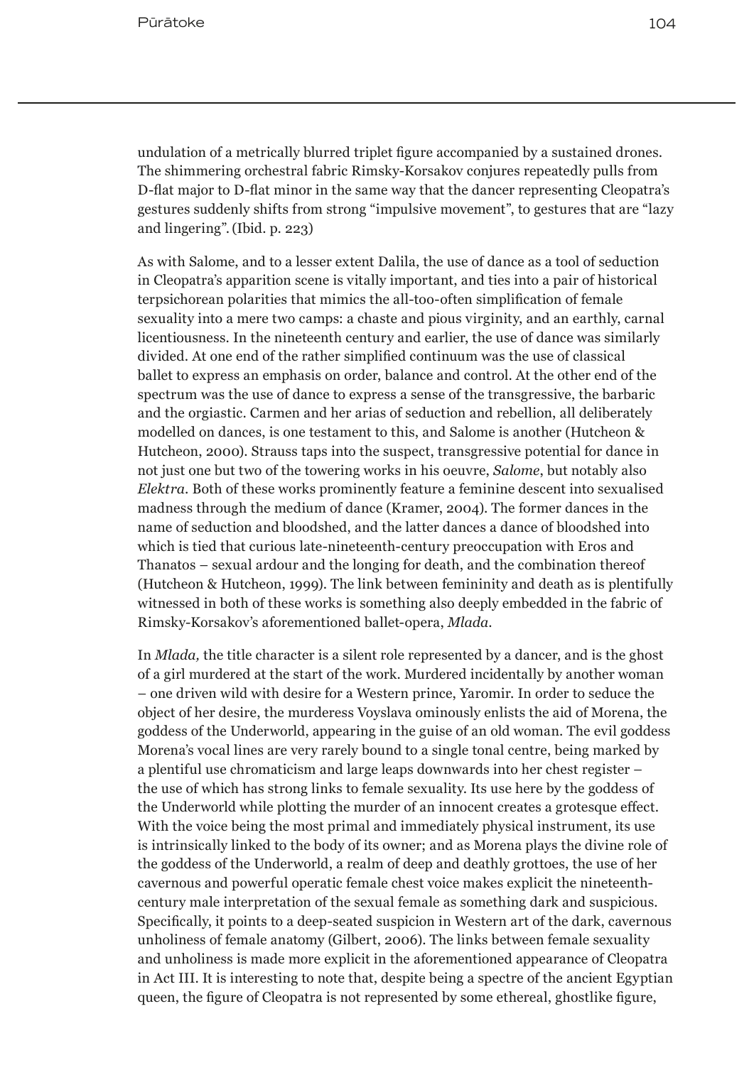undulation of a metrically blurred triplet figure accompanied by a sustained drones. The shimmering orchestral fabric Rimsky-Korsakov conjures repeatedly pulls from D-flat major to D-flat minor in the same way that the dancer representing Cleopatra's gestures suddenly shifts from strong "impulsive movement", to gestures that are "lazy and lingering".(Ibid. p. 223)

As with Salome, and to a lesser extent Dalila, the use of dance as a tool of seduction in Cleopatra's apparition scene is vitally important, and ties into a pair of historical terpsichorean polarities that mimics the all-too-often simplification of female sexuality into a mere two camps: a chaste and pious virginity, and an earthly, carnal licentiousness. In the nineteenth century and earlier, the use of dance was similarly divided. At one end of the rather simplified continuum was the use of classical ballet to express an emphasis on order, balance and control. At the other end of the spectrum was the use of dance to express a sense of the transgressive, the barbaric and the orgiastic. Carmen and her arias of seduction and rebellion, all deliberately modelled on dances, is one testament to this, and Salome is another (Hutcheon & Hutcheon, 2000). Strauss taps into the suspect, transgressive potential for dance in not just one but two of the towering works in his oeuvre, *Salome*, but notably also *Elektra*. Both of these works prominently feature a feminine descent into sexualised madness through the medium of dance (Kramer, 2004). The former dances in the name of seduction and bloodshed, and the latter dances a dance of bloodshed into which is tied that curious late-nineteenth-century preoccupation with Eros and Thanatos – sexual ardour and the longing for death, and the combination thereof (Hutcheon & Hutcheon, 1999). The link between femininity and death as is plentifully witnessed in both of these works is something also deeply embedded in the fabric of Rimsky-Korsakov's aforementioned ballet-opera, *Mlada*.

In *Mlada,* the title character is a silent role represented by a dancer, and is the ghost of a girl murdered at the start of the work. Murdered incidentally by another woman – one driven wild with desire for a Western prince, Yaromir. In order to seduce the object of her desire, the murderess Voyslava ominously enlists the aid of Morena, the goddess of the Underworld, appearing in the guise of an old woman. The evil goddess Morena's vocal lines are very rarely bound to a single tonal centre, being marked by a plentiful use chromaticism and large leaps downwards into her chest register – the use of which has strong links to female sexuality. Its use here by the goddess of the Underworld while plotting the murder of an innocent creates a grotesque effect. With the voice being the most primal and immediately physical instrument, its use is intrinsically linked to the body of its owner; and as Morena plays the divine role of the goddess of the Underworld, a realm of deep and deathly grottoes, the use of her cavernous and powerful operatic female chest voice makes explicit the nineteenthcentury male interpretation of the sexual female as something dark and suspicious. Specifically, it points to a deep-seated suspicion in Western art of the dark, cavernous unholiness of female anatomy (Gilbert, 2006). The links between female sexuality and unholiness is made more explicit in the aforementioned appearance of Cleopatra in Act III. It is interesting to note that, despite being a spectre of the ancient Egyptian queen, the figure of Cleopatra is not represented by some ethereal, ghostlike figure,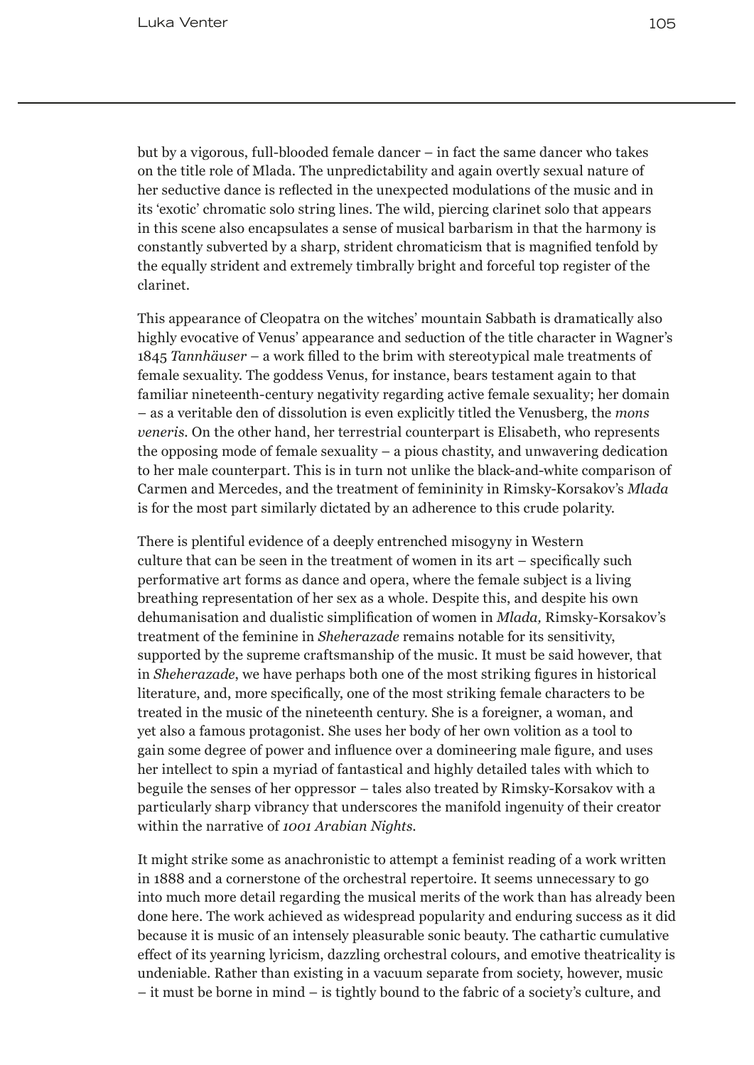but by a vigorous, full-blooded female dancer – in fact the same dancer who takes on the title role of Mlada. The unpredictability and again overtly sexual nature of her seductive dance is reflected in the unexpected modulations of the music and in its 'exotic' chromatic solo string lines. The wild, piercing clarinet solo that appears in this scene also encapsulates a sense of musical barbarism in that the harmony is constantly subverted by a sharp, strident chromaticism that is magnified tenfold by the equally strident and extremely timbrally bright and forceful top register of the clarinet.

This appearance of Cleopatra on the witches' mountain Sabbath is dramatically also highly evocative of Venus' appearance and seduction of the title character in Wagner's 1845 *Tannhäuser –* a work filled to the brim with stereotypical male treatments of female sexuality. The goddess Venus, for instance, bears testament again to that familiar nineteenth-century negativity regarding active female sexuality; her domain – as a veritable den of dissolution is even explicitly titled the Venusberg, the *mons veneris*. On the other hand, her terrestrial counterpart is Elisabeth, who represents the opposing mode of female sexuality – a pious chastity, and unwavering dedication to her male counterpart. This is in turn not unlike the black-and-white comparison of Carmen and Mercedes, and the treatment of femininity in Rimsky-Korsakov's *Mlada* is for the most part similarly dictated by an adherence to this crude polarity.

There is plentiful evidence of a deeply entrenched misogyny in Western culture that can be seen in the treatment of women in its art – specifically such performative art forms as dance and opera, where the female subject is a living breathing representation of her sex as a whole. Despite this, and despite his own dehumanisation and dualistic simplification of women in *Mlada,* Rimsky-Korsakov's treatment of the feminine in *Sheherazade* remains notable for its sensitivity, supported by the supreme craftsmanship of the music. It must be said however, that in *Sheherazade*, we have perhaps both one of the most striking figures in historical literature, and, more specifically, one of the most striking female characters to be treated in the music of the nineteenth century. She is a foreigner, a woman, and yet also a famous protagonist. She uses her body of her own volition as a tool to gain some degree of power and influence over a domineering male figure, and uses her intellect to spin a myriad of fantastical and highly detailed tales with which to beguile the senses of her oppressor – tales also treated by Rimsky-Korsakov with a particularly sharp vibrancy that underscores the manifold ingenuity of their creator within the narrative of *1001 Arabian Nights*.

It might strike some as anachronistic to attempt a feminist reading of a work written in 1888 and a cornerstone of the orchestral repertoire. It seems unnecessary to go into much more detail regarding the musical merits of the work than has already been done here. The work achieved as widespread popularity and enduring success as it did because it is music of an intensely pleasurable sonic beauty. The cathartic cumulative effect of its yearning lyricism, dazzling orchestral colours, and emotive theatricality is undeniable. Rather than existing in a vacuum separate from society, however, music – it must be borne in mind – is tightly bound to the fabric of a society's culture, and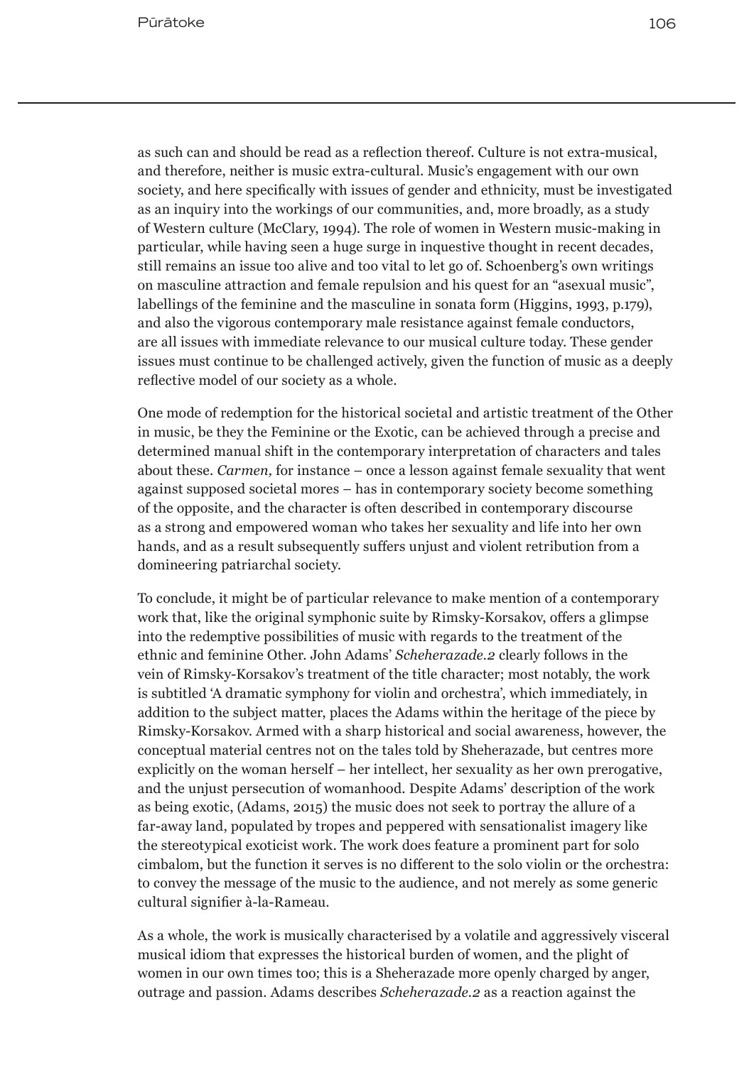as such can and should be read as a reflection thereof. Culture is not extra-musical, and therefore, neither is music extra-cultural. Music's engagement with our own society, and here specifically with issues of gender and ethnicity, must be investigated as an inquiry into the workings of our communities, and, more broadly, as a study of Western culture (McClary, 1994). The role of women in Western music-making in particular, while having seen a huge surge in inquestive thought in recent decades, still remains an issue too alive and too vital to let go of. Schoenberg's own writings on masculine attraction and female repulsion and his quest for an "asexual music", labellings of the feminine and the masculine in sonata form (Higgins, 1993, p.179), and also the vigorous contemporary male resistance against female conductors, are all issues with immediate relevance to our musical culture today. These gender issues must continue to be challenged actively, given the function of music as a deeply reflective model of our society as a whole.

One mode of redemption for the historical societal and artistic treatment of the Other in music, be they the Feminine or the Exotic, can be achieved through a precise and determined manual shift in the contemporary interpretation of characters and tales about these. *Carmen,* for instance – once a lesson against female sexuality that went against supposed societal mores – has in contemporary society become something of the opposite, and the character is often described in contemporary discourse as a strong and empowered woman who takes her sexuality and life into her own hands, and as a result subsequently suffers unjust and violent retribution from a domineering patriarchal society.

To conclude, it might be of particular relevance to make mention of a contemporary work that, like the original symphonic suite by Rimsky-Korsakov, offers a glimpse into the redemptive possibilities of music with regards to the treatment of the ethnic and feminine Other. John Adams' *Scheherazade.2* clearly follows in the vein of Rimsky-Korsakov's treatment of the title character; most notably, the work is subtitled 'A dramatic symphony for violin and orchestra', which immediately, in addition to the subject matter, places the Adams within the heritage of the piece by Rimsky-Korsakov. Armed with a sharp historical and social awareness, however, the conceptual material centres not on the tales told by Sheherazade, but centres more explicitly on the woman herself – her intellect, her sexuality as her own prerogative, and the unjust persecution of womanhood. Despite Adams' description of the work as being exotic, (Adams, 2015) the music does not seek to portray the allure of a far-away land, populated by tropes and peppered with sensationalist imagery like the stereotypical exoticist work. The work does feature a prominent part for solo cimbalom, but the function it serves is no different to the solo violin or the orchestra: to convey the message of the music to the audience, and not merely as some generic cultural signifier à-la-Rameau.

As a whole, the work is musically characterised by a volatile and aggressively visceral musical idiom that expresses the historical burden of women, and the plight of women in our own times too; this is a Sheherazade more openly charged by anger, outrage and passion. Adams describes *Scheherazade.2* as a reaction against the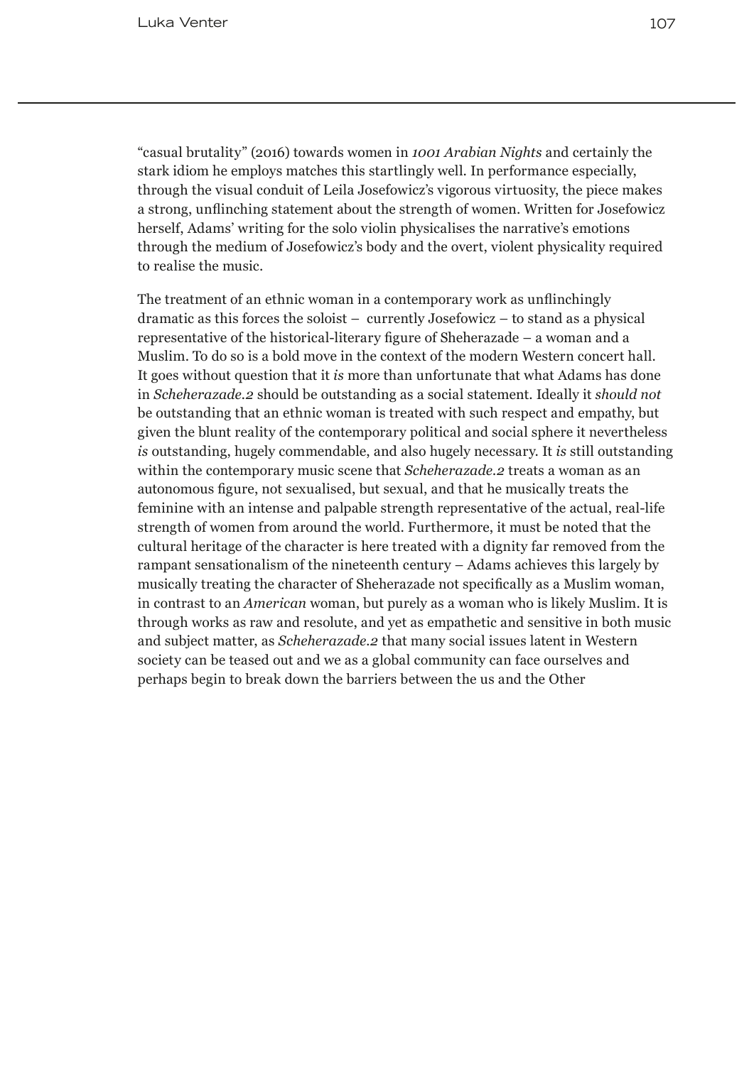"casual brutality" (2016) towards women in *1001 Arabian Nights* and certainly the stark idiom he employs matches this startlingly well. In performance especially, through the visual conduit of Leila Josefowicz's vigorous virtuosity, the piece makes a strong, unflinching statement about the strength of women. Written for Josefowicz herself, Adams' writing for the solo violin physicalises the narrative's emotions through the medium of Josefowicz's body and the overt, violent physicality required to realise the music.

The treatment of an ethnic woman in a contemporary work as unflinchingly dramatic as this forces the soloist – currently Josefowicz – to stand as a physical representative of the historical-literary figure of Sheherazade – a woman and a Muslim. To do so is a bold move in the context of the modern Western concert hall. It goes without question that it *is* more than unfortunate that what Adams has done in *Scheherazade.2* should be outstanding as a social statement. Ideally it *should not* be outstanding that an ethnic woman is treated with such respect and empathy, but given the blunt reality of the contemporary political and social sphere it nevertheless *is* outstanding, hugely commendable, and also hugely necessary. It *is* still outstanding within the contemporary music scene that *Scheherazade.2* treats a woman as an autonomous figure, not sexualised, but sexual, and that he musically treats the feminine with an intense and palpable strength representative of the actual, real-life strength of women from around the world. Furthermore, it must be noted that the cultural heritage of the character is here treated with a dignity far removed from the rampant sensationalism of the nineteenth century – Adams achieves this largely by musically treating the character of Sheherazade not specifically as a Muslim woman, in contrast to an *American* woman, but purely as a woman who is likely Muslim. It is through works as raw and resolute, and yet as empathetic and sensitive in both music and subject matter, as *Scheherazade.2* that many social issues latent in Western society can be teased out and we as a global community can face ourselves and perhaps begin to break down the barriers between the us and the Other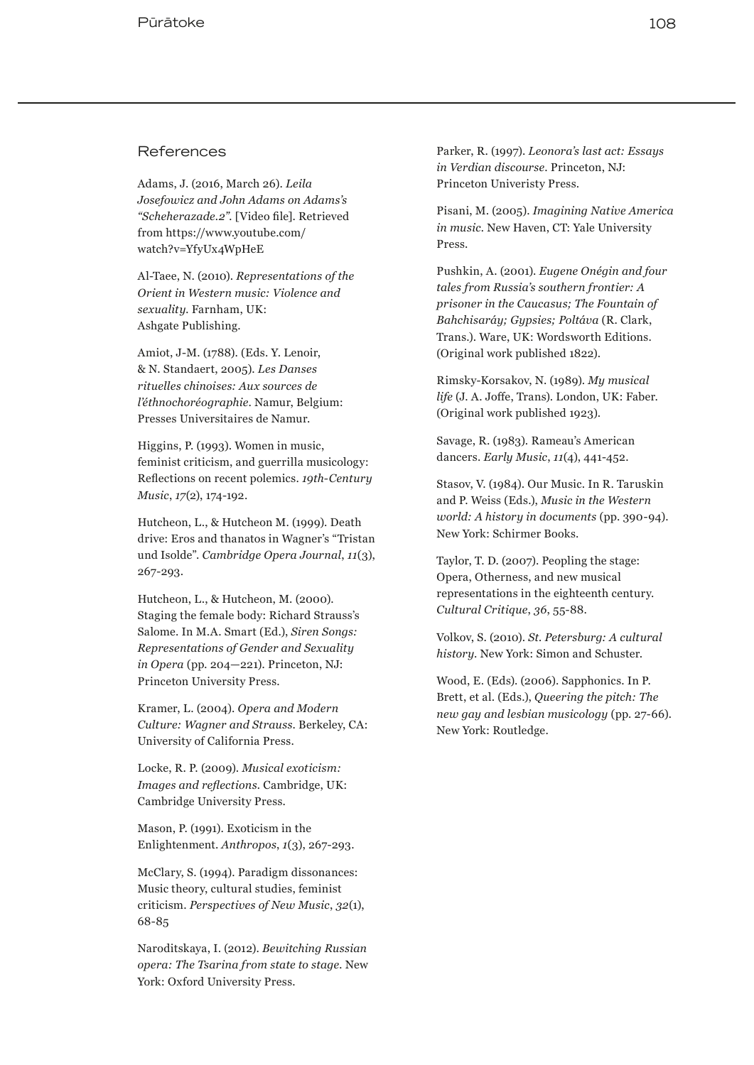#### References

Adams, J. (2016, March 26). *Leila Josefowicz and John Adams on Adams's "Scheherazade.2".* [Video file]. Retrieved from https://www.youtube.com/ watch?v=YfyUx4WpHeE

Al-Taee, N. (2010). *Representations of the Orient in Western music: Violence and sexuality.* Farnham, UK: Ashgate Publishing.

Amiot, J-M. (1788). (Eds. Y. Lenoir, & N. Standaert, 2005). *Les Danses rituelles chinoises: Aux sources de l'éthnochoréographie*. Namur, Belgium: Presses Universitaires de Namur.

Higgins, P. (1993). Women in music, feminist criticism, and guerrilla musicology: Reflections on recent polemics. *19th-Century Music*, *17*(2), 174-192.

Hutcheon, L., & Hutcheon M. (1999). Death drive: Eros and thanatos in Wagner's "Tristan und Isolde". *Cambridge Opera Journal*, *11*(3), 267-293.

Hutcheon, L., & Hutcheon, M. (2000). Staging the female body: Richard Strauss's Salome. In M.A. Smart (Ed.), *Siren Songs: Representations of Gender and Sexuality in Opera* (pp*.* 204—221)*.* Princeton, NJ: Princeton University Press.

Kramer, L. (2004). *Opera and Modern Culture: Wagner and Strauss*. Berkeley, CA: University of California Press.

Locke, R. P. (2009). *Musical exoticism: Images and reflections.* Cambridge, UK: Cambridge University Press.

Mason, P. (1991). Exoticism in the Enlightenment. *Anthropos*, *1*(3), 267-293.

McClary, S. (1994). Paradigm dissonances: Music theory, cultural studies, feminist criticism. *Perspectives of New Music*, *32*(1), 68-85

Naroditskaya, I. (2012). *Bewitching Russian opera: The Tsarina from state to stage.* New York: Oxford University Press.

Parker, R. (1997). *Leonora's last act: Essays in Verdian discourse*. Princeton, NJ: Princeton Univeristy Press.

Pisani, M. (2005). *Imagining Native America in music.* New Haven, CT: Yale University Press.

Pushkin, A. (2001). *Eugene Onégin and four tales from Russia's southern frontier: A prisoner in the Caucasus; The Fountain of Bahchisaráy; Gypsies; Poltáva* (R. Clark, Trans.). Ware, UK: Wordsworth Editions. (Original work published 1822).

Rimsky-Korsakov, N. (1989). *My musical life* (J. A. Joffe, Trans). London, UK: Faber. (Original work published 1923).

Savage, R. (1983). Rameau's American dancers. *Early Music*, *11*(4), 441-452.

Stasov, V. (1984). Our Music. In R. Taruskin and P. Weiss (Eds.), *Music in the Western world: A history in documents* (pp. 390-94). New York: Schirmer Books.

Taylor, T. D. (2007). Peopling the stage: Opera, Otherness, and new musical representations in the eighteenth century. *Cultural Critique*, *36*, 55-88.

Volkov, S. (2010). *St. Petersburg: A cultural history*. New York: Simon and Schuster.

Wood, E. (Eds). (2006). Sapphonics. In P. Brett, et al. (Eds.), *Queering the pitch: The new gay and lesbian musicology* (pp. 27-66)*.* New York: Routledge.